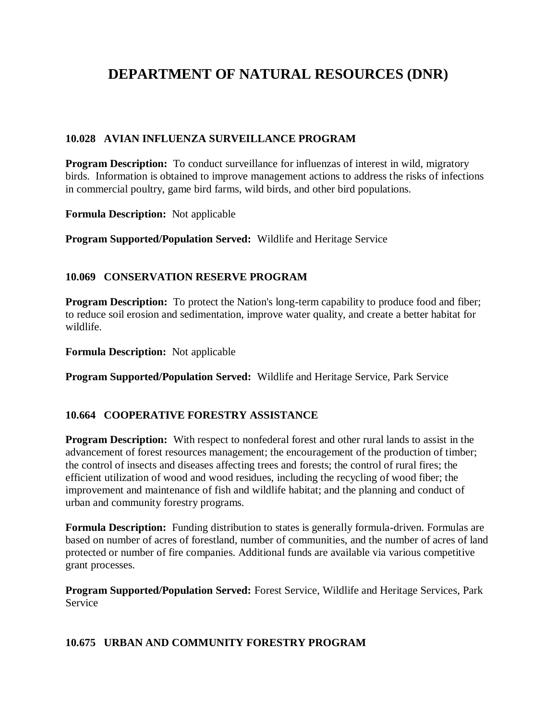# **DEPARTMENT OF NATURAL RESOURCES (DNR)**

## **10.028 AVIAN INFLUENZA SURVEILLANCE PROGRAM**

**Program Description:** To conduct surveillance for influenzas of interest in wild, migratory birds. Information is obtained to improve management actions to address the risks of infections in commercial poultry, game bird farms, wild birds, and other bird populations.

**Formula Description:** Not applicable

**Program Supported/Population Served:** Wildlife and Heritage Service

#### **10.069 CONSERVATION RESERVE PROGRAM**

**Program Description:** To protect the Nation's long-term capability to produce food and fiber; to reduce soil erosion and sedimentation, improve water quality, and create a better habitat for wildlife.

**Formula Description:** Not applicable

**Program Supported/Population Served:** Wildlife and Heritage Service, Park Service

#### **10.664 COOPERATIVE FORESTRY ASSISTANCE**

**Program Description:** With respect to nonfederal forest and other rural lands to assist in the advancement of forest resources management; the encouragement of the production of timber; the control of insects and diseases affecting trees and forests; the control of rural fires; the efficient utilization of wood and wood residues, including the recycling of wood fiber; the improvement and maintenance of fish and wildlife habitat; and the planning and conduct of urban and community forestry programs.

**Formula Description:** Funding distribution to states is generally formula-driven. Formulas are based on number of acres of forestland, number of communities, and the number of acres of land protected or number of fire companies. Additional funds are available via various competitive grant processes.

**Program Supported/Population Served:** Forest Service, Wildlife and Heritage Services, Park Service

#### **10.675 URBAN AND COMMUNITY FORESTRY PROGRAM**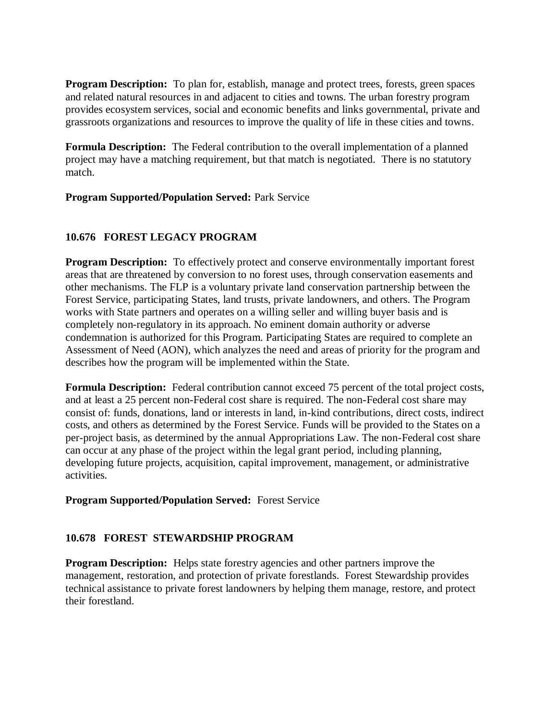**Program Description:** To plan for, establish, manage and protect trees, forests, green spaces and related natural resources in and adjacent to cities and towns. The urban forestry program provides ecosystem services, social and economic benefits and links governmental, private and grassroots organizations and resources to improve the quality of life in these cities and towns.

**Formula Description:** The Federal contribution to the overall implementation of a planned project may have a matching requirement, but that match is negotiated. There is no statutory match.

#### **Program Supported/Population Served:** Park Service

#### **10.676 FOREST LEGACY PROGRAM**

**Program Description:** To effectively protect and conserve environmentally important forest areas that are threatened by conversion to no forest uses, through conservation easements and other mechanisms. The FLP is a voluntary private land conservation partnership between the Forest Service, participating States, land trusts, private landowners, and others. The Program works with State partners and operates on a willing seller and willing buyer basis and is completely non-regulatory in its approach. No eminent domain authority or adverse condemnation is authorized for this Program. Participating States are required to complete an Assessment of Need (AON), which analyzes the need and areas of priority for the program and describes how the program will be implemented within the State.

**Formula Description:** Federal contribution cannot exceed 75 percent of the total project costs, and at least a 25 percent non-Federal cost share is required. The non-Federal cost share may consist of: funds, donations, land or interests in land, in-kind contributions, direct costs, indirect costs, and others as determined by the Forest Service. Funds will be provided to the States on a per-project basis, as determined by the annual Appropriations Law. The non-Federal cost share can occur at any phase of the project within the legal grant period, including planning, developing future projects, acquisition, capital improvement, management, or administrative activities.

#### **Program Supported/Population Served:** Forest Service

#### **10.678 FOREST STEWARDSHIP PROGRAM**

**Program Description:** Helps state forestry agencies and other partners improve the management, restoration, and protection of private forestlands. Forest Stewardship provides technical assistance to private forest landowners by helping them manage, restore, and protect their forestland.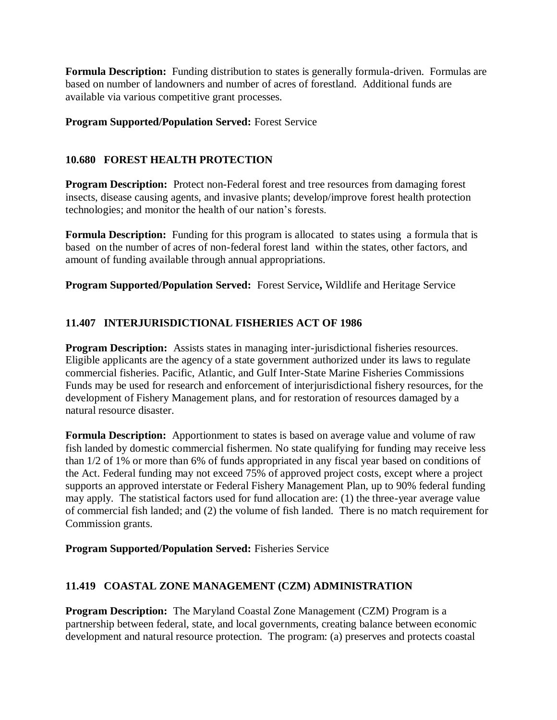**Formula Description:** Funding distribution to states is generally formula-driven. Formulas are based on number of landowners and number of acres of forestland. Additional funds are available via various competitive grant processes.

#### **Program Supported/Population Served:** Forest Service

## **10.680 FOREST HEALTH PROTECTION**

**Program Description:** Protect non-Federal forest and tree resources from damaging forest insects, disease causing agents, and invasive plants; develop/improve forest health protection technologies; and monitor the health of our nation's forests.

**Formula Description:** Funding for this program is allocated to states using a formula that is based on the number of acres of non-federal forest land within the states, other factors, and amount of funding available through annual appropriations.

**Program Supported/Population Served:** Forest Service**,** Wildlife and Heritage Service

# **11.407 INTERJURISDICTIONAL FISHERIES ACT OF 1986**

**Program Description:** Assists states in managing inter-jurisdictional fisheries resources. Eligible applicants are the agency of a state government authorized under its laws to regulate commercial fisheries. Pacific, Atlantic, and Gulf Inter-State Marine Fisheries Commissions Funds may be used for research and enforcement of interjurisdictional fishery resources, for the development of Fishery Management plans, and for restoration of resources damaged by a natural resource disaster.

**Formula Description:** Apportionment to states is based on average value and volume of raw fish landed by domestic commercial fishermen. No state qualifying for funding may receive less than 1/2 of 1% or more than 6% of funds appropriated in any fiscal year based on conditions of the Act. Federal funding may not exceed 75% of approved project costs, except where a project supports an approved interstate or Federal Fishery Management Plan, up to 90% federal funding may apply. The statistical factors used for fund allocation are: (1) the three-year average value of commercial fish landed; and (2) the volume of fish landed. There is no match requirement for Commission grants.

#### **Program Supported/Population Served:** Fisheries Service

# **11.419 COASTAL ZONE MANAGEMENT (CZM) ADMINISTRATION**

**Program Description:** The Maryland Coastal Zone Management (CZM) Program is a partnership between federal, state, and local governments, creating balance between economic development and natural resource protection. The program: (a) preserves and protects coastal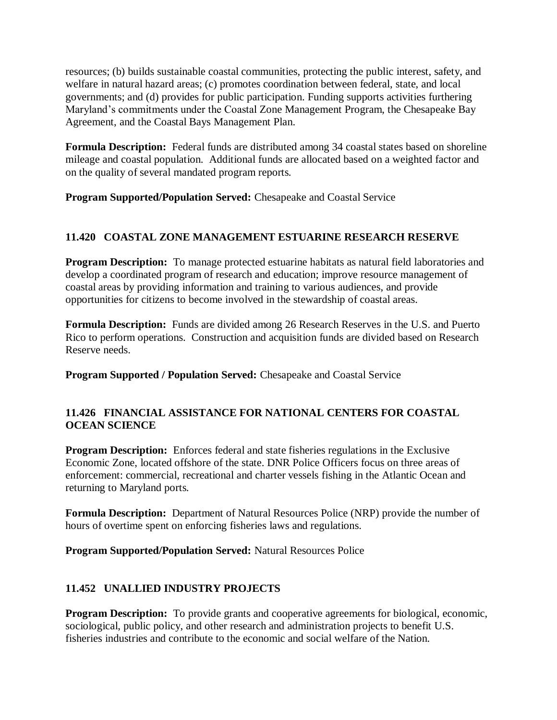resources; (b) builds sustainable coastal communities, protecting the public interest, safety, and welfare in natural hazard areas; (c) promotes coordination between federal, state, and local governments; and (d) provides for public participation. Funding supports activities furthering Maryland's commitments under the Coastal Zone Management Program, the Chesapeake Bay Agreement, and the Coastal Bays Management Plan.

**Formula Description:** Federal funds are distributed among 34 coastal states based on shoreline mileage and coastal population. Additional funds are allocated based on a weighted factor and on the quality of several mandated program reports.

**Program Supported/Population Served:** Chesapeake and Coastal Service

## **11.420 COASTAL ZONE MANAGEMENT ESTUARINE RESEARCH RESERVE**

**Program Description:** To manage protected estuarine habitats as natural field laboratories and develop a coordinated program of research and education; improve resource management of coastal areas by providing information and training to various audiences, and provide opportunities for citizens to become involved in the stewardship of coastal areas.

**Formula Description:** Funds are divided among 26 Research Reserves in the U.S. and Puerto Rico to perform operations. Construction and acquisition funds are divided based on Research Reserve needs.

**Program Supported / Population Served:** Chesapeake and Coastal Service

#### **11.426 FINANCIAL ASSISTANCE FOR NATIONAL CENTERS FOR COASTAL OCEAN SCIENCE**

**Program Description:** Enforces federal and state fisheries regulations in the Exclusive Economic Zone, located offshore of the state. DNR Police Officers focus on three areas of enforcement: commercial, recreational and charter vessels fishing in the Atlantic Ocean and returning to Maryland ports.

**Formula Description:** Department of Natural Resources Police (NRP) provide the number of hours of overtime spent on enforcing fisheries laws and regulations.

**Program Supported/Population Served:** Natural Resources Police

# **11.452 UNALLIED INDUSTRY PROJECTS**

**Program Description:** To provide grants and cooperative agreements for biological, economic, sociological, public policy, and other research and administration projects to benefit U.S. fisheries industries and contribute to the economic and social welfare of the Nation.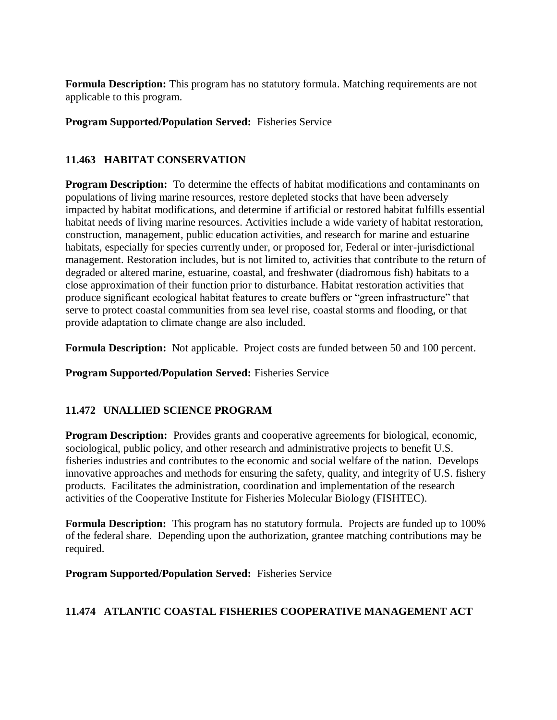**Formula Description:** This program has no statutory formula. Matching requirements are not applicable to this program.

#### **Program Supported/Population Served:** Fisheries Service

## **11.463 HABITAT CONSERVATION**

**Program Description:** To determine the effects of habitat modifications and contaminants on populations of living marine resources, restore depleted stocks that have been adversely impacted by habitat modifications, and determine if artificial or restored habitat fulfills essential habitat needs of living marine resources. Activities include a wide variety of habitat restoration, construction, management, public education activities, and research for marine and estuarine habitats, especially for species currently under, or proposed for, Federal or inter-jurisdictional management. Restoration includes, but is not limited to, activities that contribute to the return of degraded or altered marine, estuarine, coastal, and freshwater (diadromous fish) habitats to a close approximation of their function prior to disturbance. Habitat restoration activities that produce significant ecological habitat features to create buffers or "green infrastructure" that serve to protect coastal communities from sea level rise, coastal storms and flooding, or that provide adaptation to climate change are also included.

**Formula Description:** Not applicable. Project costs are funded between 50 and 100 percent.

**Program Supported/Population Served:** Fisheries Service

#### **11.472 UNALLIED SCIENCE PROGRAM**

**Program Description:** Provides grants and cooperative agreements for biological, economic, sociological, public policy, and other research and administrative projects to benefit U.S. fisheries industries and contributes to the economic and social welfare of the nation. Develops innovative approaches and methods for ensuring the safety, quality, and integrity of U.S. fishery products. Facilitates the administration, coordination and implementation of the research activities of the Cooperative Institute for Fisheries Molecular Biology (FISHTEC).

**Formula Description:** This program has no statutory formula. Projects are funded up to 100% of the federal share. Depending upon the authorization, grantee matching contributions may be required.

**Program Supported/Population Served:** Fisheries Service

#### **11.474 ATLANTIC COASTAL FISHERIES COOPERATIVE MANAGEMENT ACT**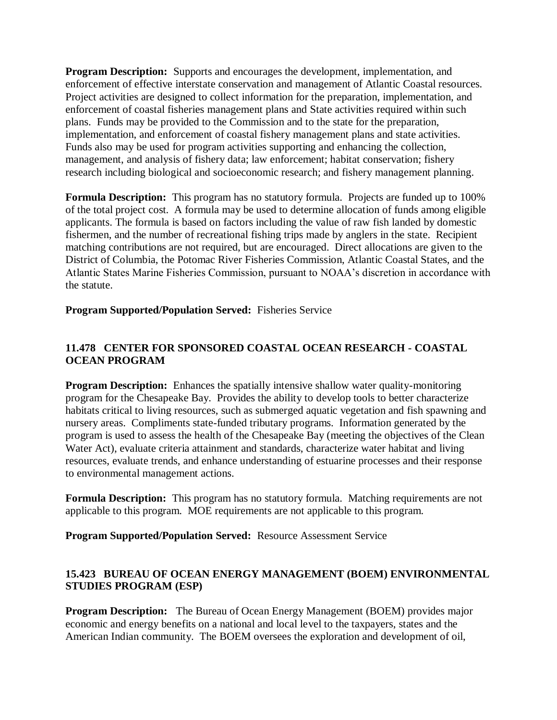**Program Description:** Supports and encourages the development, implementation, and enforcement of effective interstate conservation and management of Atlantic Coastal resources. Project activities are designed to collect information for the preparation, implementation, and enforcement of coastal fisheries management plans and State activities required within such plans. Funds may be provided to the Commission and to the state for the preparation, implementation, and enforcement of coastal fishery management plans and state activities. Funds also may be used for program activities supporting and enhancing the collection, management, and analysis of fishery data; law enforcement; habitat conservation; fishery research including biological and socioeconomic research; and fishery management planning.

**Formula Description:** This program has no statutory formula. Projects are funded up to 100% of the total project cost. A formula may be used to determine allocation of funds among eligible applicants. The formula is based on factors including the value of raw fish landed by domestic fishermen, and the number of recreational fishing trips made by anglers in the state. Recipient matching contributions are not required, but are encouraged. Direct allocations are given to the District of Columbia, the Potomac River Fisheries Commission, Atlantic Coastal States, and the Atlantic States Marine Fisheries Commission, pursuant to NOAA's discretion in accordance with the statute.

**Program Supported/Population Served:** Fisheries Service

## **11.478 CENTER FOR SPONSORED COASTAL OCEAN RESEARCH - COASTAL OCEAN PROGRAM**

**Program Description:** Enhances the spatially intensive shallow water quality-monitoring program for the Chesapeake Bay. Provides the ability to develop tools to better characterize habitats critical to living resources, such as submerged aquatic vegetation and fish spawning and nursery areas. Compliments state-funded tributary programs. Information generated by the program is used to assess the health of the Chesapeake Bay (meeting the objectives of the Clean Water Act), evaluate criteria attainment and standards, characterize water habitat and living resources, evaluate trends, and enhance understanding of estuarine processes and their response to environmental management actions.

**Formula Description:** This program has no statutory formula. Matching requirements are not applicable to this program. MOE requirements are not applicable to this program.

**Program Supported/Population Served:** Resource Assessment Service

## **15.423 BUREAU OF OCEAN ENERGY MANAGEMENT (BOEM) ENVIRONMENTAL STUDIES PROGRAM (ESP)**

**Program Description:** The Bureau of Ocean Energy Management (BOEM) provides major economic and energy benefits on a national and local level to the taxpayers, states and the American Indian community. The BOEM oversees the exploration and development of oil,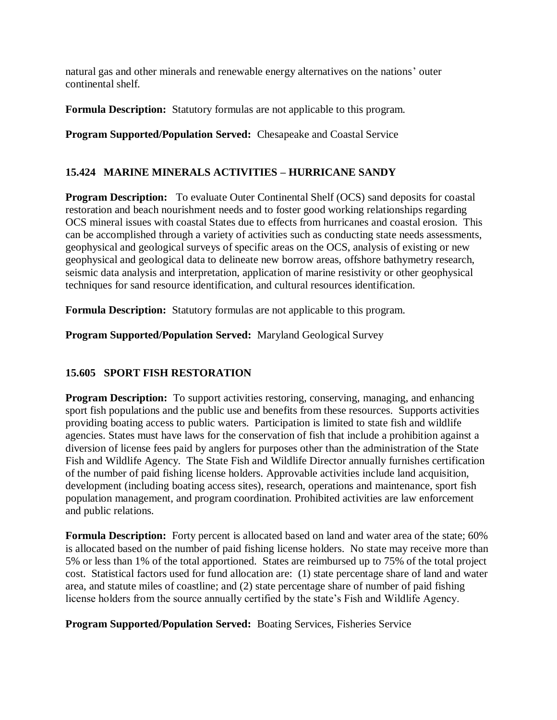natural gas and other minerals and renewable energy alternatives on the nations' outer continental shelf.

**Formula Description:** Statutory formulas are not applicable to this program.

**Program Supported/Population Served:** Chesapeake and Coastal Service

## **15.424 MARINE MINERALS ACTIVITIES – HURRICANE SANDY**

**Program Description:** To evaluate Outer Continental Shelf (OCS) sand deposits for coastal restoration and beach nourishment needs and to foster good working relationships regarding OCS mineral issues with coastal States due to effects from hurricanes and coastal erosion. This can be accomplished through a variety of activities such as conducting state needs assessments, geophysical and geological surveys of specific areas on the OCS, analysis of existing or new geophysical and geological data to delineate new borrow areas, offshore bathymetry research, seismic data analysis and interpretation, application of marine resistivity or other geophysical techniques for sand resource identification, and cultural resources identification.

**Formula Description:** Statutory formulas are not applicable to this program.

**Program Supported/Population Served:** Maryland Geological Survey

#### **15.605 SPORT FISH RESTORATION**

**Program Description:** To support activities restoring, conserving, managing, and enhancing sport fish populations and the public use and benefits from these resources. Supports activities providing boating access to public waters. Participation is limited to state fish and wildlife agencies. States must have laws for the conservation of fish that include a prohibition against a diversion of license fees paid by anglers for purposes other than the administration of the State Fish and Wildlife Agency. The State Fish and Wildlife Director annually furnishes certification of the number of paid fishing license holders. Approvable activities include land acquisition, development (including boating access sites), research, operations and maintenance, sport fish population management, and program coordination. Prohibited activities are law enforcement and public relations.

**Formula Description:** Forty percent is allocated based on land and water area of the state; 60% is allocated based on the number of paid fishing license holders. No state may receive more than 5% or less than 1% of the total apportioned. States are reimbursed up to 75% of the total project cost. Statistical factors used for fund allocation are: (1) state percentage share of land and water area, and statute miles of coastline; and (2) state percentage share of number of paid fishing license holders from the source annually certified by the state's Fish and Wildlife Agency.

**Program Supported/Population Served:** Boating Services, Fisheries Service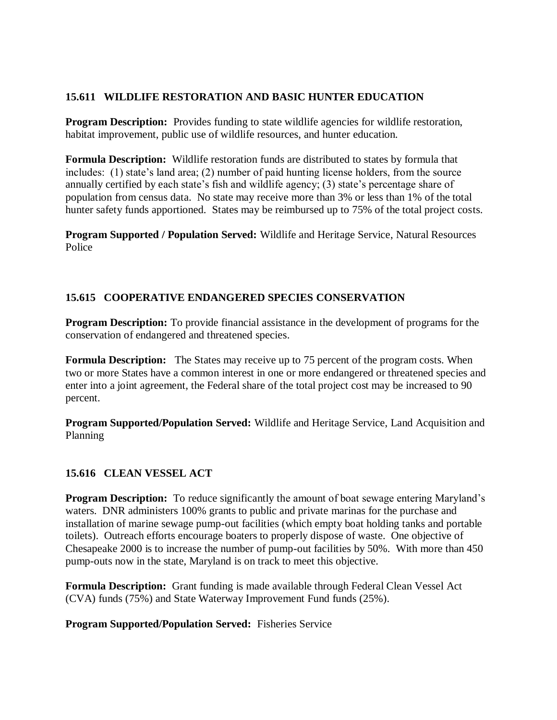## **15.611 WILDLIFE RESTORATION AND BASIC HUNTER EDUCATION**

**Program Description:** Provides funding to state wildlife agencies for wildlife restoration, habitat improvement, public use of wildlife resources, and hunter education.

**Formula Description:** Wildlife restoration funds are distributed to states by formula that includes: (1) state's land area; (2) number of paid hunting license holders, from the source annually certified by each state's fish and wildlife agency; (3) state's percentage share of population from census data. No state may receive more than 3% or less than 1% of the total hunter safety funds apportioned. States may be reimbursed up to 75% of the total project costs.

**Program Supported / Population Served:** Wildlife and Heritage Service, Natural Resources Police

#### **15.615 COOPERATIVE ENDANGERED SPECIES CONSERVATION**

**Program Description:** To provide financial assistance in the development of programs for the conservation of endangered and threatened species.

**Formula Description:** The States may receive up to 75 percent of the program costs. When two or more States have a common interest in one or more endangered or threatened species and enter into a joint agreement, the Federal share of the total project cost may be increased to 90 percent.

**Program Supported/Population Served:** Wildlife and Heritage Service, Land Acquisition and Planning

#### **15.616 CLEAN VESSEL ACT**

**Program Description:** To reduce significantly the amount of boat sewage entering Maryland's waters. DNR administers 100% grants to public and private marinas for the purchase and installation of marine sewage pump-out facilities (which empty boat holding tanks and portable toilets). Outreach efforts encourage boaters to properly dispose of waste. One objective of Chesapeake 2000 is to increase the number of pump-out facilities by 50%. With more than 450 pump-outs now in the state, Maryland is on track to meet this objective.

**Formula Description:** Grant funding is made available through Federal Clean Vessel Act (CVA) funds (75%) and State Waterway Improvement Fund funds (25%).

#### **Program Supported/Population Served:** Fisheries Service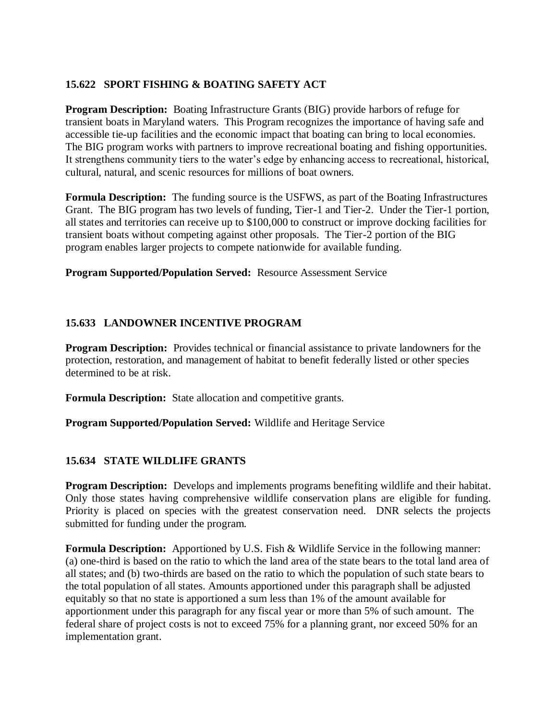## **15.622 SPORT FISHING & BOATING SAFETY ACT**

**Program Description:** Boating Infrastructure Grants (BIG) provide harbors of refuge for transient boats in Maryland waters. This Program recognizes the importance of having safe and accessible tie-up facilities and the economic impact that boating can bring to local economies. The BIG program works with partners to improve recreational boating and fishing opportunities. It strengthens community tiers to the water's edge by enhancing access to recreational, historical, cultural, natural, and scenic resources for millions of boat owners.

**Formula Description:** The funding source is the USFWS, as part of the Boating Infrastructures Grant. The BIG program has two levels of funding, Tier-1 and Tier-2. Under the Tier-1 portion, all states and territories can receive up to \$100,000 to construct or improve docking facilities for transient boats without competing against other proposals. The Tier-2 portion of the BIG program enables larger projects to compete nationwide for available funding.

**Program Supported/Population Served:** Resource Assessment Service

## **15.633 LANDOWNER INCENTIVE PROGRAM**

**Program Description:** Provides technical or financial assistance to private landowners for the protection, restoration, and management of habitat to benefit federally listed or other species determined to be at risk.

**Formula Description:** State allocation and competitive grants.

**Program Supported/Population Served:** Wildlife and Heritage Service

# **15.634 STATE WILDLIFE GRANTS**

**Program Description:** Develops and implements programs benefiting wildlife and their habitat. Only those states having comprehensive wildlife conservation plans are eligible for funding. Priority is placed on species with the greatest conservation need. DNR selects the projects submitted for funding under the program.

**Formula Description:** Apportioned by U.S. Fish & Wildlife Service in the following manner: (a) one-third is based on the ratio to which the land area of the state bears to the total land area of all states; and (b) two-thirds are based on the ratio to which the population of such state bears to the total population of all states. Amounts apportioned under this paragraph shall be adjusted equitably so that no state is apportioned a sum less than 1% of the amount available for apportionment under this paragraph for any fiscal year or more than 5% of such amount. The federal share of project costs is not to exceed 75% for a planning grant, nor exceed 50% for an implementation grant.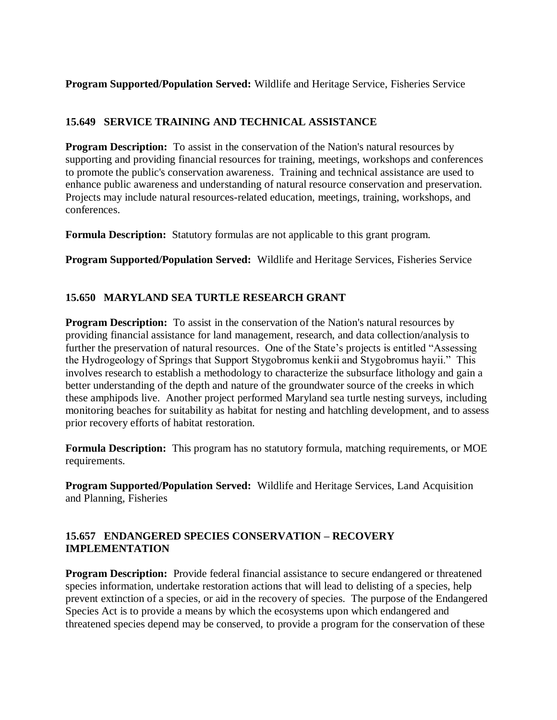**Program Supported/Population Served:** Wildlife and Heritage Service, Fisheries Service

#### **15.649 SERVICE TRAINING AND TECHNICAL ASSISTANCE**

**Program Description:** To assist in the conservation of the Nation's natural resources by supporting and providing financial resources for training, meetings, workshops and conferences to promote the public's conservation awareness. Training and technical assistance are used to enhance public awareness and understanding of natural resource conservation and preservation. Projects may include natural resources-related education, meetings, training, workshops, and conferences.

**Formula Description:** Statutory formulas are not applicable to this grant program.

**Program Supported/Population Served:** Wildlife and Heritage Services, Fisheries Service

## **15.650 MARYLAND SEA TURTLE RESEARCH GRANT**

**Program Description:** To assist in the conservation of the Nation's natural resources by providing financial assistance for land management, research, and data collection/analysis to further the preservation of natural resources. One of the State's projects is entitled "Assessing the Hydrogeology of Springs that Support Stygobromus kenkii and Stygobromus hayii." This involves research to establish a methodology to characterize the subsurface lithology and gain a better understanding of the depth and nature of the groundwater source of the creeks in which these amphipods live. Another project performed Maryland sea turtle nesting surveys, including monitoring beaches for suitability as habitat for nesting and hatchling development, and to assess prior recovery efforts of habitat restoration.

**Formula Description:** This program has no statutory formula, matching requirements, or MOE requirements.

**Program Supported/Population Served:** Wildlife and Heritage Services, Land Acquisition and Planning, Fisheries

#### **15.657 ENDANGERED SPECIES CONSERVATION – RECOVERY IMPLEMENTATION**

**Program Description:** Provide federal financial assistance to secure endangered or threatened species information, undertake restoration actions that will lead to delisting of a species, help prevent extinction of a species, or aid in the recovery of species. The purpose of the Endangered Species Act is to provide a means by which the ecosystems upon which endangered and threatened species depend may be conserved, to provide a program for the conservation of these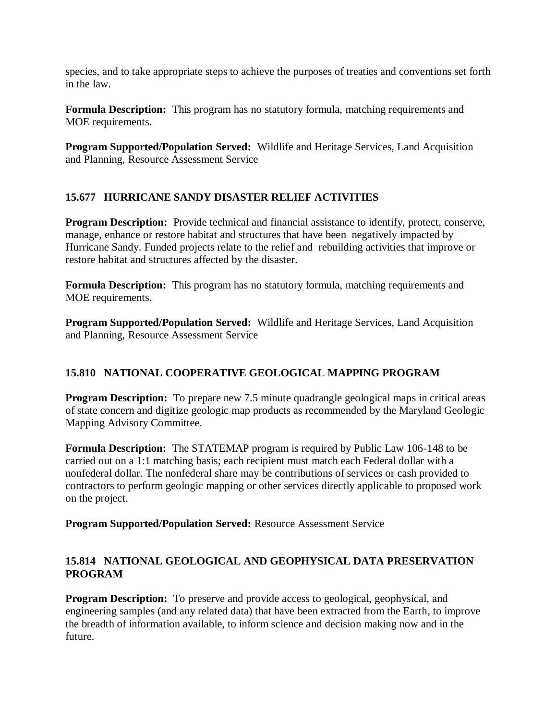species, and to take appropriate steps to achieve the purposes of treaties and conventions set forth in the law.

**Formula Description:** This program has no statutory formula, matching requirements and MOE requirements.

**Program Supported/Population Served:** Wildlife and Heritage Services, Land Acquisition and Planning, Resource Assessment Service

# **15.677 HURRICANE SANDY DISASTER RELIEF ACTIVITIES**

**Program Description:** Provide technical and financial assistance to identify, protect, conserve, manage, enhance or restore habitat and structures that have been negatively impacted by Hurricane Sandy. Funded projects relate to the relief and rebuilding activities that improve or restore habitat and structures affected by the disaster.

**Formula Description:** This program has no statutory formula, matching requirements and MOE requirements.

**Program Supported/Population Served:** Wildlife and Heritage Services, Land Acquisition and Planning, Resource Assessment Service

# **15.810 NATIONAL COOPERATIVE GEOLOGICAL MAPPING PROGRAM**

**Program Description:** To prepare new 7.5 minute quadrangle geological maps in critical areas of state concern and digitize geologic map products as recommended by the Maryland Geologic Mapping Advisory Committee.

**Formula Description:** The STATEMAP program is required by Public Law 106-148 to be carried out on a 1:1 matching basis; each recipient must match each Federal dollar with a nonfederal dollar. The nonfederal share may be contributions of services or cash provided to contractors to perform geologic mapping or other services directly applicable to proposed work on the project.

**Program Supported/Population Served:** Resource Assessment Service

# **15.814 NATIONAL GEOLOGICAL AND GEOPHYSICAL DATA PRESERVATION PROGRAM**

**Program Description:** To preserve and provide access to geological, geophysical, and engineering samples (and any related data) that have been extracted from the Earth, to improve the breadth of information available, to inform science and decision making now and in the future.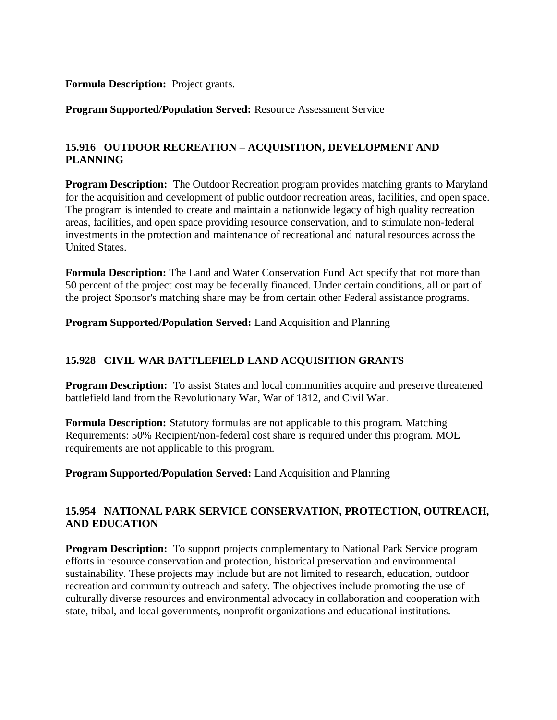#### **Formula Description:** Project grants.

#### **Program Supported/Population Served:** Resource Assessment Service

## **15.916 OUTDOOR RECREATION – ACQUISITION, DEVELOPMENT AND PLANNING**

**Program Description:** The Outdoor Recreation program provides matching grants to Maryland for the acquisition and development of public outdoor recreation areas, facilities, and open space. The program is intended to create and maintain a nationwide legacy of high quality recreation areas, facilities, and open space providing resource conservation, and to stimulate non-federal investments in the protection and maintenance of recreational and natural resources across the United States.

**Formula Description:** The Land and Water Conservation Fund Act specify that not more than 50 percent of the project cost may be federally financed. Under certain conditions, all or part of the project Sponsor's matching share may be from certain other Federal assistance programs.

**Program Supported/Population Served:** Land Acquisition and Planning

#### **15.928 CIVIL WAR BATTLEFIELD LAND ACQUISITION GRANTS**

**Program Description:** To assist States and local communities acquire and preserve threatened battlefield land from the Revolutionary War, War of 1812, and Civil War.

**Formula Description:** Statutory formulas are not applicable to this program. Matching Requirements: 50% Recipient/non-federal cost share is required under this program. MOE requirements are not applicable to this program.

**Program Supported/Population Served:** Land Acquisition and Planning

#### **15.954 NATIONAL PARK SERVICE CONSERVATION, PROTECTION, OUTREACH, AND EDUCATION**

**Program Description:** To support projects complementary to National Park Service program efforts in resource conservation and protection, historical preservation and environmental sustainability. These projects may include but are not limited to research, education, outdoor recreation and community outreach and safety. The objectives include promoting the use of culturally diverse resources and environmental advocacy in collaboration and cooperation with state, tribal, and local governments, nonprofit organizations and educational institutions.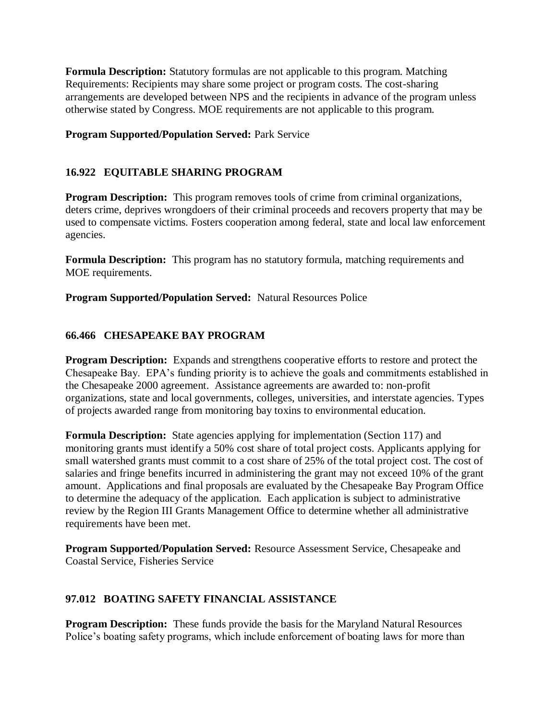**Formula Description:** Statutory formulas are not applicable to this program. Matching Requirements: Recipients may share some project or program costs. The cost-sharing arrangements are developed between NPS and the recipients in advance of the program unless otherwise stated by Congress. MOE requirements are not applicable to this program.

#### **Program Supported/Population Served:** Park Service

## **16.922 EQUITABLE SHARING PROGRAM**

**Program Description:** This program removes tools of crime from criminal organizations, deters crime, deprives wrongdoers of their criminal proceeds and recovers property that may be used to compensate victims. Fosters cooperation among federal, state and local law enforcement agencies.

**Formula Description:** This program has no statutory formula, matching requirements and MOE requirements.

**Program Supported/Population Served:** Natural Resources Police

## **66.466 CHESAPEAKE BAY PROGRAM**

**Program Description:** Expands and strengthens cooperative efforts to restore and protect the Chesapeake Bay. EPA's funding priority is to achieve the goals and commitments established in the Chesapeake 2000 agreement. Assistance agreements are awarded to: non-profit organizations, state and local governments, colleges, universities, and interstate agencies. Types of projects awarded range from monitoring bay toxins to environmental education.

**Formula Description:** State agencies applying for implementation (Section 117) and monitoring grants must identify a 50% cost share of total project costs. Applicants applying for small watershed grants must commit to a cost share of 25% of the total project cost. The cost of salaries and fringe benefits incurred in administering the grant may not exceed 10% of the grant amount. Applications and final proposals are evaluated by the Chesapeake Bay Program Office to determine the adequacy of the application. Each application is subject to administrative review by the Region III Grants Management Office to determine whether all administrative requirements have been met.

**Program Supported/Population Served:** Resource Assessment Service, Chesapeake and Coastal Service, Fisheries Service

#### **97.012 BOATING SAFETY FINANCIAL ASSISTANCE**

**Program Description:** These funds provide the basis for the Maryland Natural Resources Police's boating safety programs, which include enforcement of boating laws for more than